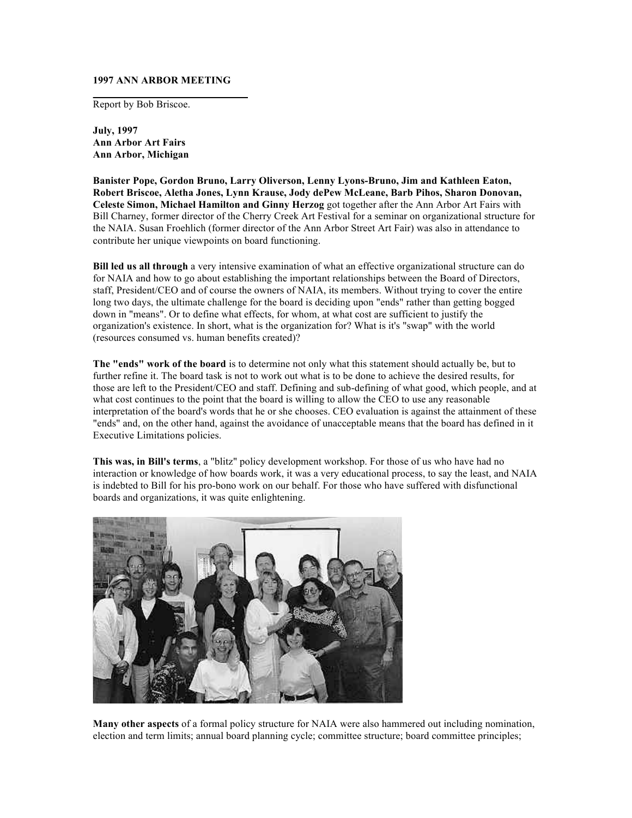## **1997 ANN ARBOR MEETING**

Report by Bob Briscoe.

**July, 1997 Ann Arbor Art Fairs Ann Arbor, Michigan** 

**Banister Pope, Gordon Bruno, Larry Oliverson, Lenny Lyons-Bruno, Jim and Kathleen Eaton, Robert Briscoe, Aletha Jones, Lynn Krause, Jody dePew McLeane, Barb Pihos, Sharon Donovan, Celeste Simon, Michael Hamilton and Ginny Herzog** got together after the Ann Arbor Art Fairs with Bill Charney, former director of the Cherry Creek Art Festival for a seminar on organizational structure for the NAIA. Susan Froehlich (former director of the Ann Arbor Street Art Fair) was also in attendance to contribute her unique viewpoints on board functioning.

**Bill led us all through** a very intensive examination of what an effective organizational structure can do for NAIA and how to go about establishing the important relationships between the Board of Directors, staff, President/CEO and of course the owners of NAIA, its members. Without trying to cover the entire long two days, the ultimate challenge for the board is deciding upon "ends" rather than getting bogged down in "means". Or to define what effects, for whom, at what cost are sufficient to justify the organization's existence. In short, what is the organization for? What is it's "swap" with the world (resources consumed vs. human benefits created)?

**The "ends" work of the board** is to determine not only what this statement should actually be, but to further refine it. The board task is not to work out what is to be done to achieve the desired results, for those are left to the President/CEO and staff. Defining and sub-defining of what good, which people, and at what cost continues to the point that the board is willing to allow the CEO to use any reasonable interpretation of the board's words that he or she chooses. CEO evaluation is against the attainment of these "ends" and, on the other hand, against the avoidance of unacceptable means that the board has defined in it Executive Limitations policies.

**This was, in Bill's terms**, a "blitz" policy development workshop. For those of us who have had no interaction or knowledge of how boards work, it was a very educational process, to say the least, and NAIA is indebted to Bill for his pro-bono work on our behalf. For those who have suffered with disfunctional boards and organizations, it was quite enlightening.



**Many other aspects** of a formal policy structure for NAIA were also hammered out including nomination, election and term limits; annual board planning cycle; committee structure; board committee principles;